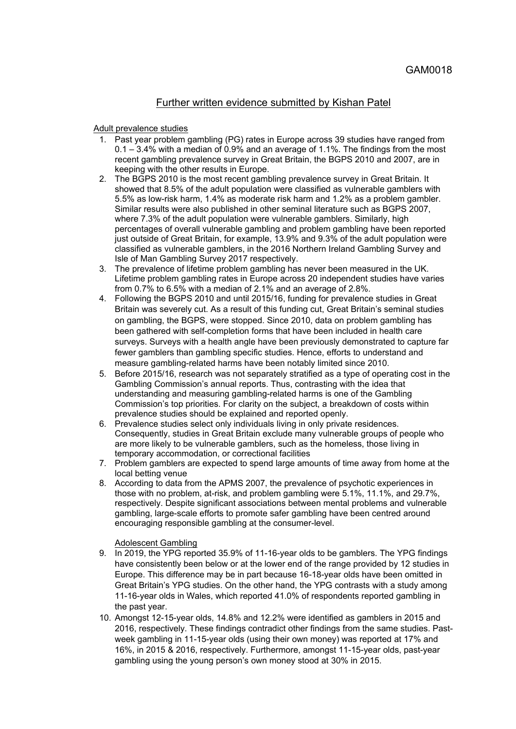# Further written evidence submitted by Kishan Patel

#### Adult prevalence studies

- 1. Past year problem gambling (PG) rates in Europe across 39 studies have ranged from 0.1 – 3.4% with a median of 0.9% and an average of 1.1%. The findings from the most recent gambling prevalence survey in Great Britain, the BGPS 2010 and 2007, are in keeping with the other results in Europe.
- 2. The BGPS 2010 is the most recent gambling prevalence survey in Great Britain. It showed that 8.5% of the adult population were classified as vulnerable gamblers with 5.5% as low-risk harm, 1.4% as moderate risk harm and 1.2% as a problem gambler. Similar results were also published in other seminal literature such as BGPS 2007, where 7.3% of the adult population were vulnerable gamblers. Similarly, high percentages of overall vulnerable gambling and problem gambling have been reported just outside of Great Britain, for example, 13.9% and 9.3% of the adult population were classified as vulnerable gamblers, in the 2016 Northern Ireland Gambling Survey and Isle of Man Gambling Survey 2017 respectively.
- 3. The prevalence of lifetime problem gambling has never been measured in the UK. Lifetime problem gambling rates in Europe across 20 independent studies have varies from 0.7% to 6.5% with a median of 2.1% and an average of 2.8%.
- 4. Following the BGPS 2010 and until 2015/16, funding for prevalence studies in Great Britain was severely cut. As a result of this funding cut, Great Britain's seminal studies on gambling, the BGPS, were stopped. Since 2010, data on problem gambling has been gathered with self-completion forms that have been included in health care surveys. Surveys with a health angle have been previously demonstrated to capture far fewer gamblers than gambling specific studies. Hence, efforts to understand and measure gambling-related harms have been notably limited since 2010.
- 5. Before 2015/16, research was not separately stratified as a type of operating cost in the Gambling Commission's annual reports. Thus, contrasting with the idea that understanding and measuring gambling-related harms is one of the Gambling Commission's top priorities. For clarity on the subject, a breakdown of costs within prevalence studies should be explained and reported openly.
- 6. Prevalence studies select only individuals living in only private residences. Consequently, studies in Great Britain exclude many vulnerable groups of people who are more likely to be vulnerable gamblers, such as the homeless, those living in temporary accommodation, or correctional facilities
- 7. Problem gamblers are expected to spend large amounts of time away from home at the local betting venue
- 8. According to data from the APMS 2007, the prevalence of psychotic experiences in those with no problem, at-risk, and problem gambling were 5.1%, 11.1%, and 29.7%, respectively. Despite significant associations between mental problems and vulnerable gambling, large-scale efforts to promote safer gambling have been centred around encouraging responsible gambling at the consumer-level.

#### Adolescent Gambling

- 9. In 2019, the YPG reported 35.9% of 11-16-year olds to be gamblers. The YPG findings have consistently been below or at the lower end of the range provided by 12 studies in Europe. This difference may be in part because 16-18-year olds have been omitted in Great Britain's YPG studies. On the other hand, the YPG contrasts with a study among 11-16-year olds in Wales, which reported 41.0% of respondents reported gambling in the past year.
- 10. Amongst 12-15-year olds, 14.8% and 12.2% were identified as gamblers in 2015 and 2016, respectively. These findings contradict other findings from the same studies. Pastweek gambling in 11-15-year olds (using their own money) was reported at 17% and 16%, in 2015 & 2016, respectively. Furthermore, amongst 11-15-year olds, past-year gambling using the young person's own money stood at 30% in 2015.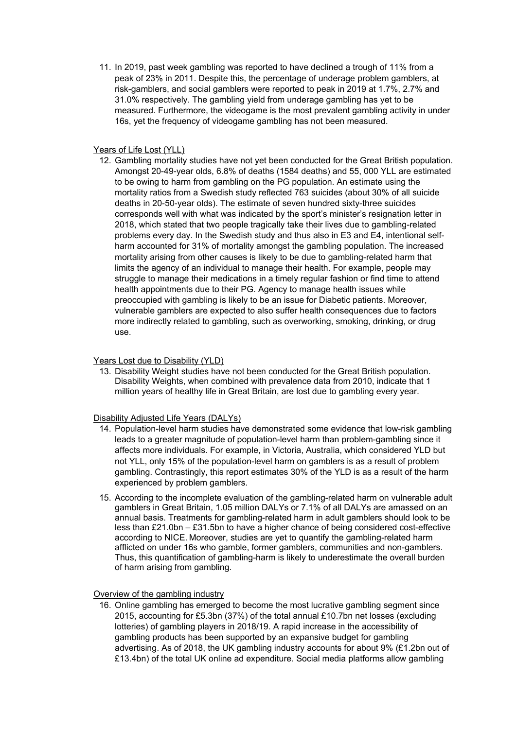11. In 2019, past week gambling was reported to have declined a trough of 11% from a peak of 23% in 2011. Despite this, the percentage of underage problem gamblers, at risk-gamblers, and social gamblers were reported to peak in 2019 at 1.7%, 2.7% and 31.0% respectively. The gambling yield from underage gambling has yet to be measured. Furthermore, the videogame is the most prevalent gambling activity in under 16s, yet the frequency of videogame gambling has not been measured.

## Years of Life Lost (YLL)

12. Gambling mortality studies have not yet been conducted for the Great British population. Amongst 20-49-year olds, 6.8% of deaths (1584 deaths) and 55, 000 YLL are estimated to be owing to harm from gambling on the PG population. An estimate using the mortality ratios from a Swedish study reflected 763 suicides (about 30% of all suicide deaths in 20-50-year olds). The estimate of seven hundred sixty-three suicides corresponds well with what was indicated by the sport's minister's resignation letter in 2018, which stated that two people tragically take their lives due to gambling-related problems every day. In the Swedish study and thus also in E3 and E4, intentional selfharm accounted for 31% of mortality amongst the gambling population. The increased mortality arising from other causes is likely to be due to gambling-related harm that limits the agency of an individual to manage their health. For example, people may struggle to manage their medications in a timely regular fashion or find time to attend health appointments due to their PG. Agency to manage health issues while preoccupied with gambling is likely to be an issue for Diabetic patients. Moreover, vulnerable gamblers are expected to also suffer health consequences due to factors more indirectly related to gambling, such as overworking, smoking, drinking, or drug use.

# Years Lost due to Disability (YLD)

13. Disability Weight studies have not been conducted for the Great British population. Disability Weights, when combined with prevalence data from 2010, indicate that 1 million years of healthy life in Great Britain, are lost due to gambling every year.

### Disability Adjusted Life Years (DALYs)

- 14. Population-level harm studies have demonstrated some evidence that low-risk gambling leads to a greater magnitude of population-level harm than problem-gambling since it affects more individuals. For example, in Victoria, Australia, which considered YLD but not YLL, only 15% of the population-level harm on gamblers is as a result of problem gambling. Contrastingly, this report estimates 30% of the YLD is as a result of the harm experienced by problem gamblers.
- 15. According to the incomplete evaluation of the gambling-related harm on vulnerable adult gamblers in Great Britain, 1.05 million DALYs or 7.1% of all DALYs are amassed on an annual basis. Treatments for gambling-related harm in adult gamblers should look to be less than £21.0bn – £31.5bn to have a higher chance of being considered cost-effective according to NICE. Moreover, studies are yet to quantify the gambling-related harm afflicted on under 16s who gamble, former gamblers, communities and non-gamblers. Thus, this quantification of gambling-harm is likely to underestimate the overall burden of harm arising from gambling.

### Overview of the gambling industry

16. Online gambling has emerged to become the most lucrative gambling segment since 2015, accounting for £5.3bn (37%) of the total annual £10.7bn net losses (excluding lotteries) of gambling players in 2018/19. A rapid increase in the accessibility of gambling products has been supported by an expansive budget for gambling advertising. As of 2018, the UK gambling industry accounts for about 9% (£1.2bn out of £13.4bn) of the total UK online ad expenditure. Social media platforms allow gambling